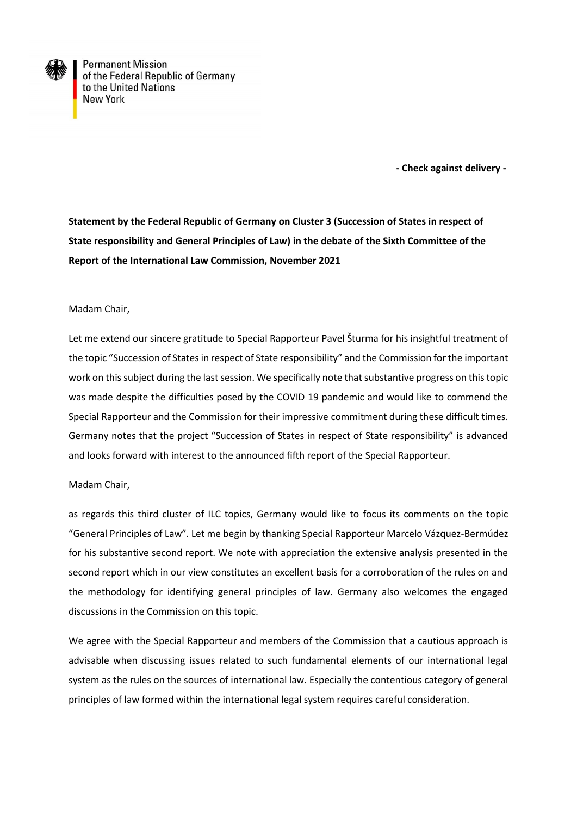

**Permanent Mission** of the Federal Republic of Germany to the United Nations **New York** 

 **- Check against delivery -**

**Statement by the Federal Republic of Germany on Cluster 3 (Succession of States in respect of State responsibility and General Principles of Law) in the debate of the Sixth Committee of the Report of the International Law Commission, November 2021**

## Madam Chair,

Let me extend our sincere gratitude to Special Rapporteur Pavel Šturma for his insightful treatment of the topic "Succession of States in respect of State responsibility" and the Commission for the important work on this subject during the last session. We specifically note that substantive progress on this topic was made despite the difficulties posed by the COVID 19 pandemic and would like to commend the Special Rapporteur and the Commission for their impressive commitment during these difficult times. Germany notes that the project "Succession of States in respect of State responsibility" is advanced and looks forward with interest to the announced fifth report of the Special Rapporteur.

## Madam Chair,

as regards this third cluster of ILC topics, Germany would like to focus its comments on the topic "General Principles of Law". Let me begin by thanking Special Rapporteur Marcelo Vázquez-Bermúdez for his substantive second report. We note with appreciation the extensive analysis presented in the second report which in our view constitutes an excellent basis for a corroboration of the rules on and the methodology for identifying general principles of law. Germany also welcomes the engaged discussions in the Commission on this topic.

We agree with the Special Rapporteur and members of the Commission that a cautious approach is advisable when discussing issues related to such fundamental elements of our international legal system as the rules on the sources of international law. Especially the contentious category of general principles of law formed within the international legal system requires careful consideration.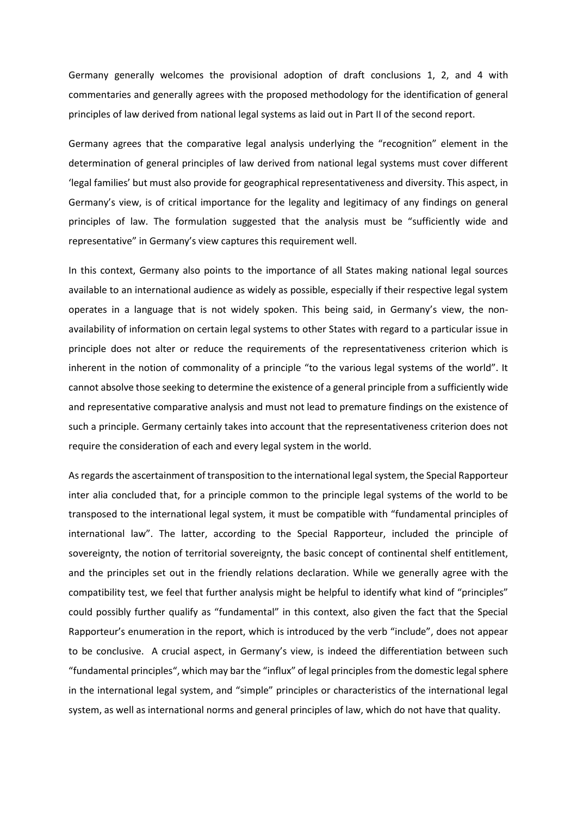Germany generally welcomes the provisional adoption of draft conclusions 1, 2, and 4 with commentaries and generally agrees with the proposed methodology for the identification of general principles of law derived from national legal systems as laid out in Part II of the second report.

Germany agrees that the comparative legal analysis underlying the "recognition" element in the determination of general principles of law derived from national legal systems must cover different 'legal families' but must also provide for geographical representativeness and diversity. This aspect, in Germany's view, is of critical importance for the legality and legitimacy of any findings on general principles of law. The formulation suggested that the analysis must be "sufficiently wide and representative" in Germany's view captures this requirement well.

In this context, Germany also points to the importance of all States making national legal sources available to an international audience as widely as possible, especially if their respective legal system operates in a language that is not widely spoken. This being said, in Germany's view, the nonavailability of information on certain legal systems to other States with regard to a particular issue in principle does not alter or reduce the requirements of the representativeness criterion which is inherent in the notion of commonality of a principle "to the various legal systems of the world". It cannot absolve those seeking to determine the existence of a general principle from a sufficiently wide and representative comparative analysis and must not lead to premature findings on the existence of such a principle. Germany certainly takes into account that the representativeness criterion does not require the consideration of each and every legal system in the world.

As regards the ascertainment of transposition to the international legal system, the Special Rapporteur inter alia concluded that, for a principle common to the principle legal systems of the world to be transposed to the international legal system, it must be compatible with "fundamental principles of international law". The latter, according to the Special Rapporteur, included the principle of sovereignty, the notion of territorial sovereignty, the basic concept of continental shelf entitlement, and the principles set out in the friendly relations declaration. While we generally agree with the compatibility test, we feel that further analysis might be helpful to identify what kind of "principles" could possibly further qualify as "fundamental" in this context, also given the fact that the Special Rapporteur's enumeration in the report, which is introduced by the verb "include", does not appear to be conclusive. A crucial aspect, in Germany's view, is indeed the differentiation between such "fundamental principles", which may bar the "influx" of legal principles from the domestic legal sphere in the international legal system, and "simple" principles or characteristics of the international legal system, as well as international norms and general principles of law, which do not have that quality.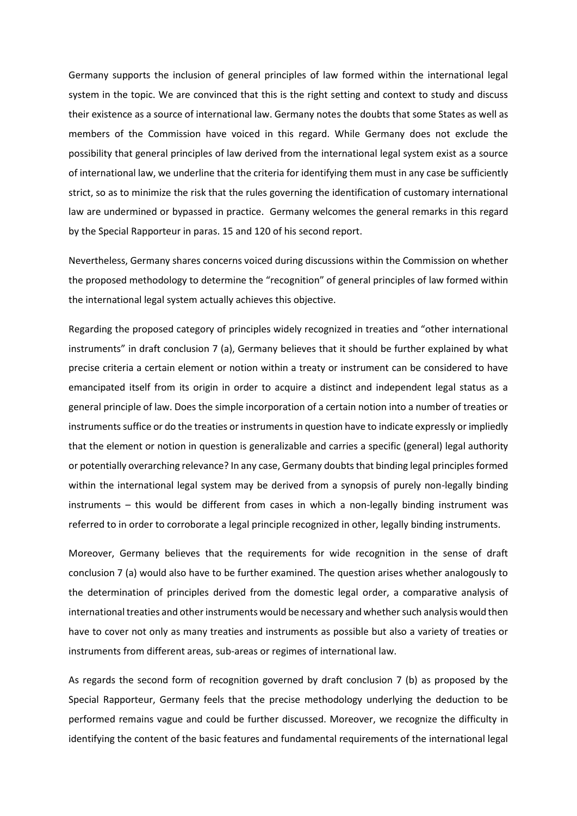Germany supports the inclusion of general principles of law formed within the international legal system in the topic. We are convinced that this is the right setting and context to study and discuss their existence as a source of international law. Germany notes the doubts that some States as well as members of the Commission have voiced in this regard. While Germany does not exclude the possibility that general principles of law derived from the international legal system exist as a source of international law, we underline that the criteria for identifying them must in any case be sufficiently strict, so as to minimize the risk that the rules governing the identification of customary international law are undermined or bypassed in practice. Germany welcomes the general remarks in this regard by the Special Rapporteur in paras. 15 and 120 of his second report.

Nevertheless, Germany shares concerns voiced during discussions within the Commission on whether the proposed methodology to determine the "recognition" of general principles of law formed within the international legal system actually achieves this objective.

Regarding the proposed category of principles widely recognized in treaties and "other international instruments" in draft conclusion 7 (a), Germany believes that it should be further explained by what precise criteria a certain element or notion within a treaty or instrument can be considered to have emancipated itself from its origin in order to acquire a distinct and independent legal status as a general principle of law. Does the simple incorporation of a certain notion into a number of treaties or instruments suffice or do the treaties or instruments in question have to indicate expressly or impliedly that the element or notion in question is generalizable and carries a specific (general) legal authority or potentially overarching relevance? In any case, Germany doubts that binding legal principles formed within the international legal system may be derived from a synopsis of purely non-legally binding instruments – this would be different from cases in which a non-legally binding instrument was referred to in order to corroborate a legal principle recognized in other, legally binding instruments.

Moreover, Germany believes that the requirements for wide recognition in the sense of draft conclusion 7 (a) would also have to be further examined. The question arises whether analogously to the determination of principles derived from the domestic legal order, a comparative analysis of international treaties and other instruments would be necessary and whether such analysis would then have to cover not only as many treaties and instruments as possible but also a variety of treaties or instruments from different areas, sub-areas or regimes of international law.

As regards the second form of recognition governed by draft conclusion 7 (b) as proposed by the Special Rapporteur, Germany feels that the precise methodology underlying the deduction to be performed remains vague and could be further discussed. Moreover, we recognize the difficulty in identifying the content of the basic features and fundamental requirements of the international legal